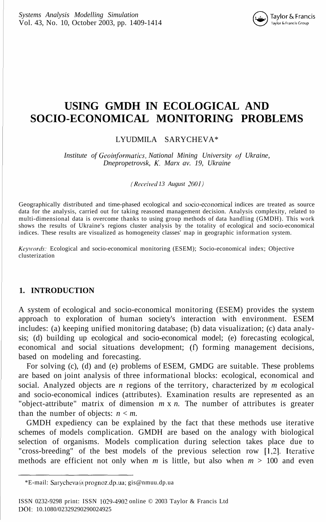

# **USING GMDH IN ECOLOGICAL AND SOCIO-ECONOMICAL MONITORING PROBLEMS**

#### LYUDMILA SARYCHEVA\*

*Institute of Geoinformatics, National Mining University oj Ukraine, Dnepropetrovsk, K. Marx av. 19, Ukraine*

*(Received 13 August 2001)*

Geographically distributed and time-phased ecological and socio-economical indices are treated as source data for the analysis, carried out for taking reasoned management decision. Analysis complexity, related to multi-dimensional data is overcome thanks to using group methods of data handling (GMDH). This work shows the results of Ukraine's regions cluster analysis by the totality of ecological and socio-economical indices. These results are visualized as homogeneity classes' map in geographic information system.

*Keywords:* Ecological and socio-economical monitoring (ESEM); Socio-economical index; Objective clusterization

## **1. INTRODUCTION**

A system of ecological and socio-economical monitoring (ESEM) provides the system approach to exploration of human society's interaction with environment. ESEM includes: (a) keeping unified monitoring database; (b) data visualization; (c) data analysis; (d) building up ecological and socio-economical model; (e) forecasting ecological, economical and social situations development; (f) forming management decisions, based on modeling and forecasting.

For solving (c), (d) and (e) problems of ESEM, GMDG are suitable. These problems are based on joint analysis of three informational blocks: ecological, economical and social. Analyzed objects are *n* regions of the territory, characterized by *m* ecological and socio-economical indices (attributes). Examination results are represented as an "object-attribute" matrix of dimension *m* x *n.* The number of attributes is greater than the number of objects:  $n < m$ .

GMDH expediency can be explained by the fact that these methods use iterative schemes of models complication. GMDH are based on the analogy with biological selection of organisms. Models complication during selection takes place due to "cross-breeding" of the best models of the previous selection row [1,2]. Iterative methods are efficient not only when *m* is little, but also when *m >* 100 and even

<sup>\*</sup>E-mail: Sarycheva@prognoz.dp.ua; gis@nmuu.dp.ua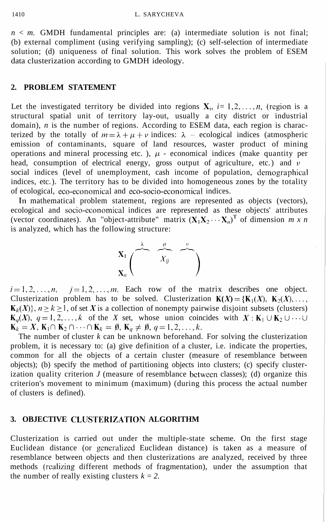$n \leq m$ . GMDH fundamental principles are: (a) intermediate solution is not final; (b) external compliment (using verifying sampling); (c) self-selection of intermediate solution; (d) uniqueness of final solution. This work solves the problem of ESEM data clusterization according to GMDH ideology.

#### **2. PROBLEM STATEMENT**

Let the investigated territory be divided into regions  $X_i$ ,  $i=1,2,\ldots,n$ , (region is a structural spatial unit of territory lay-out, usually a city district or industrial domain), *n* is the number of regions. According to ESEM data, each region is characterized by the totally of  $m = \lambda + \mu + \nu$  indices:  $\lambda$  – ecological indices (atmospheric emission of contaminants, square of land resources, waster product of mining operations and mineral processing etc. ),  $\mu$  - economical indices (make quantity per head, consumption of electrical energy, gross output of agriculture, etc.) and  $\nu$ social indices (level of unemployment, cash income of population, demographical indices, etc. ). The territory has to be divided into homogeneous zones by the totality of ecological, eco-economical and eco-socio-economical indices.

In mathematical problem statement, regions are represented as objects (vectors), ecological and socio-economical indices are represented as these objects' attributes (vector coordinates). An "object-attribute" matrix  $(X_1X_2 \cdots X_n)^T$  of dimension *m x n* is analyzed, which has the following structure:



 $i=1,2,\ldots,n$ ,  $j=1,2,\ldots,m$ . Each row of the matrix describes one object. Clusterization problem has to be solved. Clusterization  $K(X) = {K_1(X), K_2(X), \ldots, K_n(X)}$  $K_k(X)$ ,  $n \ge k \ge 1$ , of set X is a collection of nonempty pairwise disjoint subsets (clusters)  $\mathbf{K}_q(X)$ ,  $q = 1, 2, ..., k$  of the *X* set, whose union coincides with  $X : \mathbf{K}_1 \cup \mathbf{K}_2 \cup \cdots \cup \mathbf{K}_k = X$ ,  $\mathbf{K}_1 \cap \mathbf{K}_2 \cap \cdots \cap \mathbf{K}_k = \emptyset$ ,  $\mathbf{K}_q \neq \emptyset$ ,  $q = 1, 2, ..., k$ .

The number of cluster *k* can be unknown beforehand. For solving the clusterization problem, it is necessary to: (a) give definition of a cluster, i.e. indicate the properties, common for all the objects of a certain cluster (measure of resemblance between objects); (b) specify the method of partitioning objects into clusters; (c) specify clusterization quality criterion *J* (measure of resemblance between classes); (d) organize this criterion's movement to minimum (maximum) (during this process the actual number of clusters is defined).

#### **3. OBJECTIVE CLUSTERIZATION ALGORITHM**

Clusterization is carried out under the multiple-state scheme. On the first stage Euclidean distance (or generalized Euclidean distance) is taken as a measure of resemblance between objects and then clusterizations are analyzed, received by three methods (realizing different methods of fragmentation), under the assumption that the number of really existing clusters  $k = 2$ .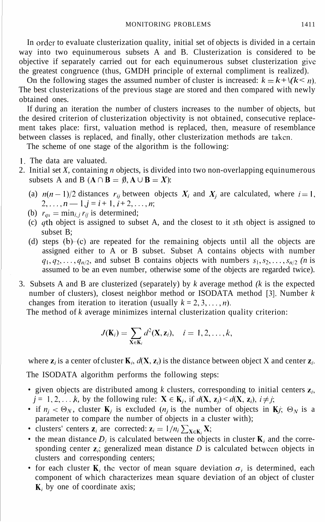In order to evaluate clusterization quality, initial set of objects is divided in a certain way into two equinumerous subsets A and B. Clusterization is considered to be objective if separately carried out for each equinumerous subset clusterization give the greatest congruence (thus, GMDH principle of external compliment is realized).

On the following stages the assumed number of cluster is increased:  $k = k + \frac{k - n}{k}$ . The best clusterizations of the previous stage are stored and then compared with newly obtained ones.

If during an iteration the number of clusters increases to the number of objects, but the desired criterion of clusterization objectivity is not obtained, consecutive replacement takes place: first, valuation method is replaced, then, measure of resemblance between classes is replaced, and finally, other clusterization methods are taken.

The scheme of one stage of the algorithm is the following:

- 1. The data are valuated.
- 2. Initial set *X,* containing *n* objects, is divided into two non-overlapping equinumerous subsets A and B  $(A \cap B = \emptyset, A \cup B = X)$ :
	- (a)  $n(n-1)/2$  distances  $r_{ij}$  between objects  $X_i$  and  $X_j$  are calculated, where  $i=1$ ,  $2, \ldots, n - 1, j = i + 1, i + 2, \ldots, n;$
	- (b)  $r_{as} = \min_{i,j} r_{ii}$  is determined;
	- (c) *qth* object is assigned to subset A, and the closest to it *sth* object is assigned to subset B;
	- (d) steps (b)-(c) are repeated for the remaining objects until all the objects are assigned either to A or B subset. Subset A contains objects with number  $q_1, q_2, \ldots, q_{n/2}$ , and subset B contains objects with numbers  $s_1, s_2, \ldots, s_{n/2}$  (*n* is assumed to be an even number, otherwise some of the objects are regarded twice).
- 3. Subsets A and B are clusterized (separately) by *k* average method *(k* is the expected number of clusters), closest neighbor method or ISODATA method [3]. Number *k* changes from iteration to iteration (usually  $k = 2, 3, \ldots, n$ ).

The method of *k* average minimizes internal clusterization quality criterion:

$$
J(\mathbf{K}_i)=\sum_{\mathbf{X}\in\mathbf{K}_i}d^2(\mathbf{X},\mathbf{z}_i),\quad i=1,2,\ldots,k,
$$

where  $z_i$  is a center of cluster  $K_i$ ,  $d(X, z_i)$  is the distance between object X and center  $z_i$ . The ISODATA algorithm performs the following steps:

- given objects are distributed among  $k$  clusters, corresponding to initial centers  $z_i$ ,  $j = 1, 2, \dots, k$ , by the following rule:  $X \in K_i$ , if  $d(X, z_i) \leq d(X, z_i)$ ,  $i \neq j$ ;
- if  $n_i < \Theta_N$ , cluster **K**<sub>i</sub> is excluded  $(n_i$  is the number of objects in **K**<sub>j</sub>;  $\Theta_N$  is a parameter to compare the number of objects in a cluster with);
- clusters' centers  $z_i$  are corrected:  $z_i = 1/n_i \sum_{X \in K_i} X$ ;
- the mean distance  $D_i$  is calculated between the objects in cluster  $K_i$  and the corresponding center  $z_i$ ; generalized mean distance  $D$  is calculated between objects in clusters and corresponding centers;
- for each cluster  $\mathbf{K}_i$  the vector of mean square deviation  $\sigma_i$  is determined, each component of which characterizes mean square deviation of an object of cluster  $\mathbf{K}_i$  by one of coordinate axis;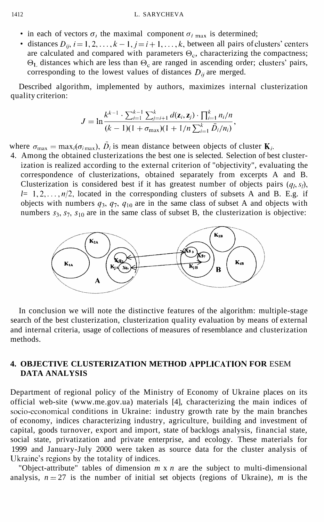- in each of vectors  $\sigma_i$ , the maximal component  $\sigma_i$  max is determined;
- distances  $D_{ii}$ ,  $i = 1, 2, ..., k 1$ ,  $j = i + 1, ..., k$ , between all pairs of clusters' centers are calculated and compared with parameters  $\Theta_c$ , characterizing the compactness; distances which are less than  $\Theta_c$  are ranged in ascending order; clusters' pairs, corresponding to the lowest values of distances  $D_{ij}$  are merged.

Described algorithm, implemented by authors, maximizes internal clusterization quality criterion:

$$
J = \ln \frac{k^{k-1} \cdot \sum_{i=1}^{k-1} \sum_{j=i+1}^{k} d(\mathbf{z}_i, \mathbf{z}_j) \cdot \prod_{i=1}^{k} n_i / n}{(k-1)(1 + \sigma_{\max})(1 + 1/n \sum_{i=1}^{k} \bar{D}_i / n_i)},
$$

where  $\sigma_{\text{max}} = \max_i(\sigma_{i_{\text{max}}})$ ,  $\bar{D}_i$  is mean distance between objects of cluster **K**<sub>*i*</sub>.

4. Among the obtained clusterizations the best one is selected. Selection of best clusterization is realized according to the external criterion of "objectivity", evaluating the correspondence of clusterizations, obtained separately from excerpts A and B. Clusterization is considered best if it has greatest number of objects pairs  $(q_1, s_1)$ ,  $l=1,2,\ldots,n/2$ , located in the corresponding clusters of subsets A and B. E.g. if objects with numbers  $q_3$ ,  $q_7$ ,  $q_{10}$  are in the same class of subset A and objects with numbers  $s_3$ ,  $s_7$ ,  $s_{10}$  are in the same class of subset B, the clusterization is objective:



In conclusion we will note the distinctive features of the algorithm: multiple-stage search of the best clusterization, clusterization quality evaluation by means of external and internal criteria, usage of collections of measures of resemblance and clusterization methods.

# **4. OBJECTIVE CLUSTERIZATION METHOD APPLICATION FOR** ESEM **DATA ANALYSIS**

Department of regional policy of the Ministry of Economy of Ukraine places on its official web-site (www.me.gov.ua) materials [4], characterizing the main indices of socio-economical conditions in Ukraine: industry growth rate by the main branches of economy, indices characterizing industry, agriculture, building and investment of capital, goods turnover, export and import, state of backlogs analysis, financial state, social state, privatization and private enterprise, and ecology. These materials for 1999 and January-July 2000 were taken as source data for the cluster analysis of Ukraine's regions by the totality of indices.

"Object-attribute" tables of dimension *m* x *n* are the subject to multi-dimensional analysis,  $n = 27$  is the number of initial set objects (regions of Ukraine), *m* is the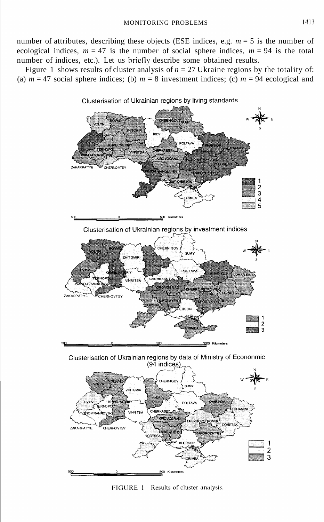number of attributes, describing these objects (ESE indices, e.g.  $m = 5$  is the number of ecological indices,  $m = 47$  is the number of social sphere indices,  $m = 94$  is the total number of indices, etc.). Let us briefly describe some obtained results.

Figure 1 shows results of cluster analysis of  $n = 27$  Ukraine regions by the totality of: (a)  $m = 47$  social sphere indices; (b)  $m = 8$  investment indices; (c)  $m = 94$  ecological and



FIGURE 1 Results of cluster analysis.